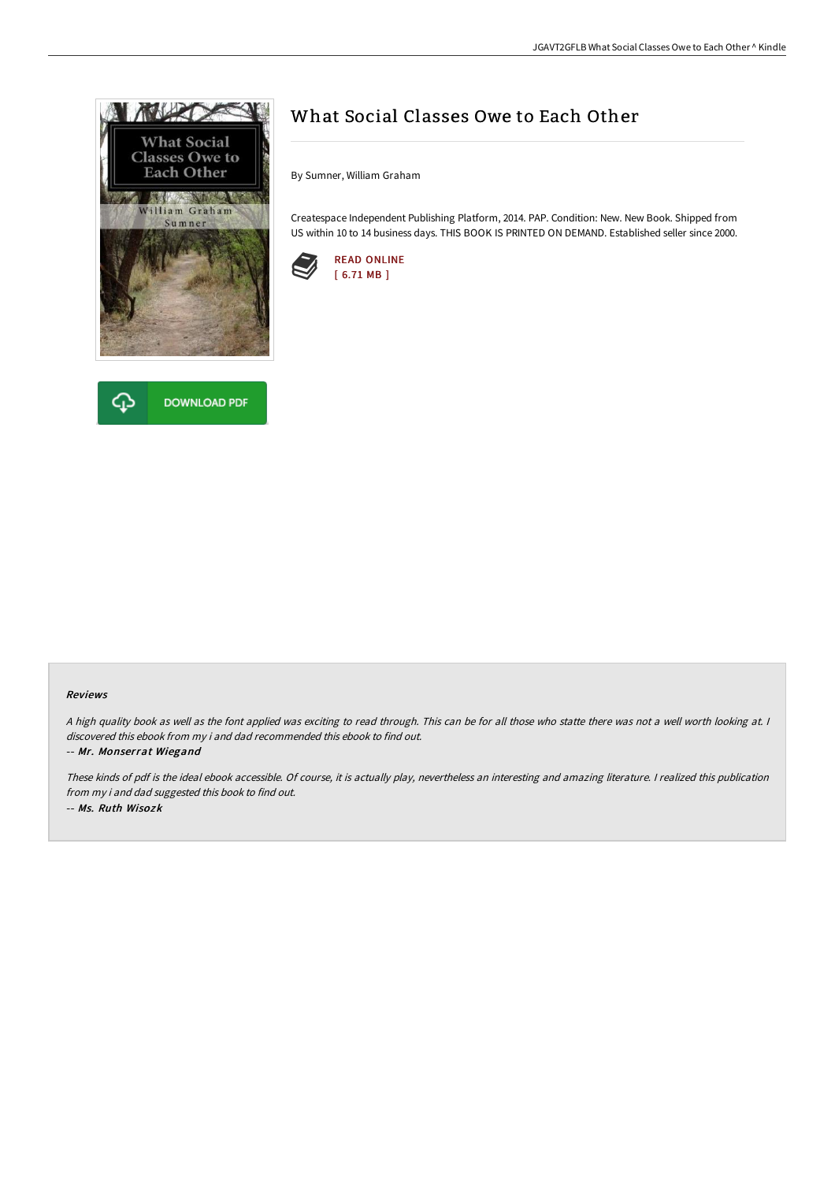



## What Social Classes Owe to Each Other

By Sumner, William Graham

Createspace Independent Publishing Platform, 2014. PAP. Condition: New. New Book. Shipped from US within 10 to 14 business days. THIS BOOK IS PRINTED ON DEMAND. Established seller since 2000.



## Reviews

A high quality book as well as the font applied was exciting to read through. This can be for all those who statte there was not a well worth looking at. I discovered this ebook from my i and dad recommended this ebook to find out.

-- Mr. Monserrat Wiegand

These kinds of pdf is the ideal ebook accessible. Of course, it is actually play, nevertheless an interesting and amazing literature. <sup>I</sup> realized this publication from my i and dad suggested this book to find out. -- Ms. Ruth Wisozk